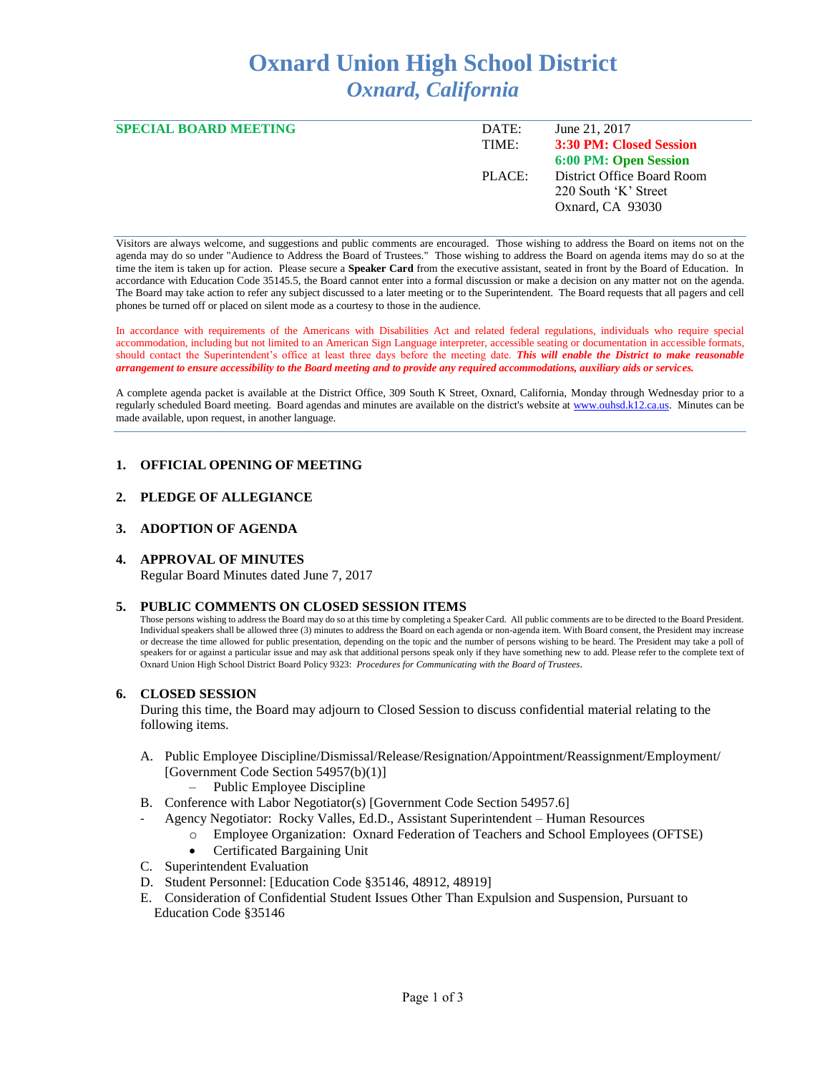# **Oxnard Union High School District** *Oxnard, California*

| <b>SPECIAL BOARD MEETING</b> | DATE:  | June 21, 2017              |
|------------------------------|--------|----------------------------|
|                              | TIME:  | 3:30 PM: Closed Session    |
|                              |        | 6:00 PM: Open Session      |
|                              | PLACE: | District Office Board Room |
|                              |        | 220 South 'K' Street       |
|                              |        | Oxnard, CA 93030           |
|                              |        |                            |

Visitors are always welcome, and suggestions and public comments are encouraged. Those wishing to address the Board on items not on the agenda may do so under "Audience to Address the Board of Trustees." Those wishing to address the Board on agenda items may do so at the time the item is taken up for action. Please secure a **Speaker Card** from the executive assistant, seated in front by the Board of Education. In accordance with Education Code 35145.5, the Board cannot enter into a formal discussion or make a decision on any matter not on the agenda. The Board may take action to refer any subject discussed to a later meeting or to the Superintendent. The Board requests that all pagers and cell phones be turned off or placed on silent mode as a courtesy to those in the audience.

In accordance with requirements of the Americans with Disabilities Act and related federal regulations, individuals who require special accommodation, including but not limited to an American Sign Language interpreter, accessible seating or documentation in accessible formats, should contact the Superintendent's office at least three days before the meeting date. *This will enable the District to make reasonable arrangement to ensure accessibility to the Board meeting and to provide any required accommodations, auxiliary aids or services.* 

A complete agenda packet is available at the District Office, 309 South K Street, Oxnard, California, Monday through Wednesday prior to a regularly scheduled Board meeting. Board agendas and minutes are available on the district's website at [www.ouhsd.k12.ca.us.](http://www.ouhsd.k12.ca.us/)Minutes can be made available, upon request, in another language.

## **1. OFFICIAL OPENING OF MEETING**

## **2. PLEDGE OF ALLEGIANCE**

## **3. ADOPTION OF AGENDA**

## **4. APPROVAL OF MINUTES**

Regular Board Minutes dated June 7, 2017

## **5. PUBLIC COMMENTS ON CLOSED SESSION ITEMS**

Those persons wishing to address the Board may do so at this time by completing a Speaker Card. All public comments are to be directed to the Board President. Individual speakers shall be allowed three (3) minutes to address the Board on each agenda or non-agenda item. With Board consent, the President may increase or decrease the time allowed for public presentation, depending on the topic and the number of persons wishing to be heard. The President may take a poll of speakers for or against a particular issue and may ask that additional persons speak only if they have something new to add. Please refer to the complete text of Oxnard Union High School District Board Policy 9323: *Procedures for Communicating with the Board of Trustees*.

## **6. CLOSED SESSION**

During this time, the Board may adjourn to Closed Session to discuss confidential material relating to the following items.

- A. Public Employee Discipline/Dismissal/Release/Resignation/Appointment/Reassignment/Employment/ [Government Code Section 54957(b)(1)]
	- Public Employee Discipline
- B. Conference with Labor Negotiator(s) [Government Code Section 54957.6]
	- Agency Negotiator: Rocky Valles, Ed.D., Assistant Superintendent Human Resources
		- Employee Organization: Oxnard Federation of Teachers and School Employees (OFTSE)
		- Certificated Bargaining Unit
- C. Superintendent Evaluation
- D. Student Personnel: [Education Code §35146, 48912, 48919]
- E. Consideration of Confidential Student Issues Other Than Expulsion and Suspension, Pursuant to Education Code §35146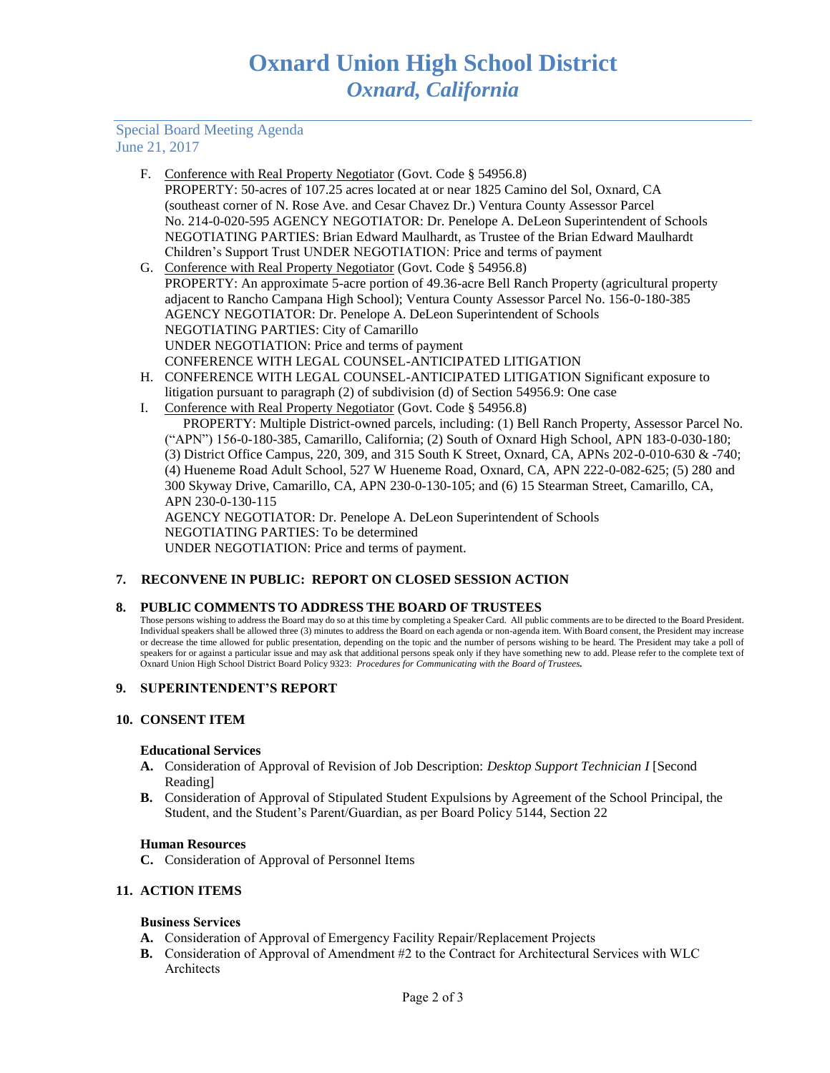## Special Board Meeting Agenda June 21, 2017

- F. Conference with Real Property Negotiator (Govt. Code § 54956.8) PROPERTY: 50-acres of 107.25 acres located at or near 1825 Camino del Sol, Oxnard, CA (southeast corner of N. Rose Ave. and Cesar Chavez Dr.) Ventura County Assessor Parcel No. 214-0-020-595 AGENCY NEGOTIATOR: Dr. Penelope A. DeLeon Superintendent of Schools NEGOTIATING PARTIES: Brian Edward Maulhardt, as Trustee of the Brian Edward Maulhardt Children's Support Trust UNDER NEGOTIATION: Price and terms of payment
- G. Conference with Real Property Negotiator (Govt. Code § 54956.8) PROPERTY: An approximate 5-acre portion of 49.36-acre Bell Ranch Property (agricultural property adjacent to Rancho Campana High School); Ventura County Assessor Parcel No. 156-0-180-385 AGENCY NEGOTIATOR: Dr. Penelope A. DeLeon Superintendent of Schools NEGOTIATING PARTIES: City of Camarillo UNDER NEGOTIATION: Price and terms of payment CONFERENCE WITH LEGAL COUNSEL-ANTICIPATED LITIGATION
- H. CONFERENCE WITH LEGAL COUNSEL-ANTICIPATED LITIGATION Significant exposure to litigation pursuant to paragraph (2) of subdivision (d) of Section 54956.9: One case
- I. Conference with Real Property Negotiator (Govt. Code § 54956.8) PROPERTY: Multiple District-owned parcels, including: (1) Bell Ranch Property, Assessor Parcel No. ("APN") 156-0-180-385, Camarillo, California; (2) South of Oxnard High School, APN 183-0-030-180; (3) District Office Campus, 220, 309, and 315 South K Street, Oxnard, CA, APNs 202-0-010-630 & -740; (4) Hueneme Road Adult School, 527 W Hueneme Road, Oxnard, CA, APN 222-0-082-625; (5) 280 and 300 Skyway Drive, Camarillo, CA, APN 230-0-130-105; and (6) 15 Stearman Street, Camarillo, CA, APN 230-0-130-115 AGENCY NEGOTIATOR: Dr. Penelope A. DeLeon Superintendent of Schools NEGOTIATING PARTIES: To be determined UNDER NEGOTIATION: Price and terms of payment.

## **7. RECONVENE IN PUBLIC: REPORT ON CLOSED SESSION ACTION**

## **8. PUBLIC COMMENTS TO ADDRESS THE BOARD OF TRUSTEES**

Those persons wishing to address the Board may do so at this time by completing a Speaker Card. All public comments are to be directed to the Board President. Individual speakers shall be allowed three (3) minutes to address the Board on each agenda or non-agenda item. With Board consent, the President may increase or decrease the time allowed for public presentation, depending on the topic and the number of persons wishing to be heard. The President may take a poll of speakers for or against a particular issue and may ask that additional persons speak only if they have something new to add. Please refer to the complete text of Oxnard Union High School District Board Policy 9323: *Procedures for Communicating with the Board of Trustees.*

## **9. SUPERINTENDENT'S REPORT**

## **10. CONSENT ITEM**

#### **Educational Services**

- **A.** Consideration of Approval of Revision of Job Description: *Desktop Support Technician I* [Second Reading]
- **B.** Consideration of Approval of Stipulated Student Expulsions by Agreement of the School Principal, the Student, and the Student's Parent/Guardian, as per Board Policy 5144, Section 22

#### **Human Resources**

**C.** Consideration of Approval of Personnel Items

## **11. ACTION ITEMS**

## **Business Services**

- **A.** Consideration of Approval of Emergency Facility Repair/Replacement Projects
- **B.** Consideration of Approval of Amendment #2 to the Contract for Architectural Services with WLC Architects